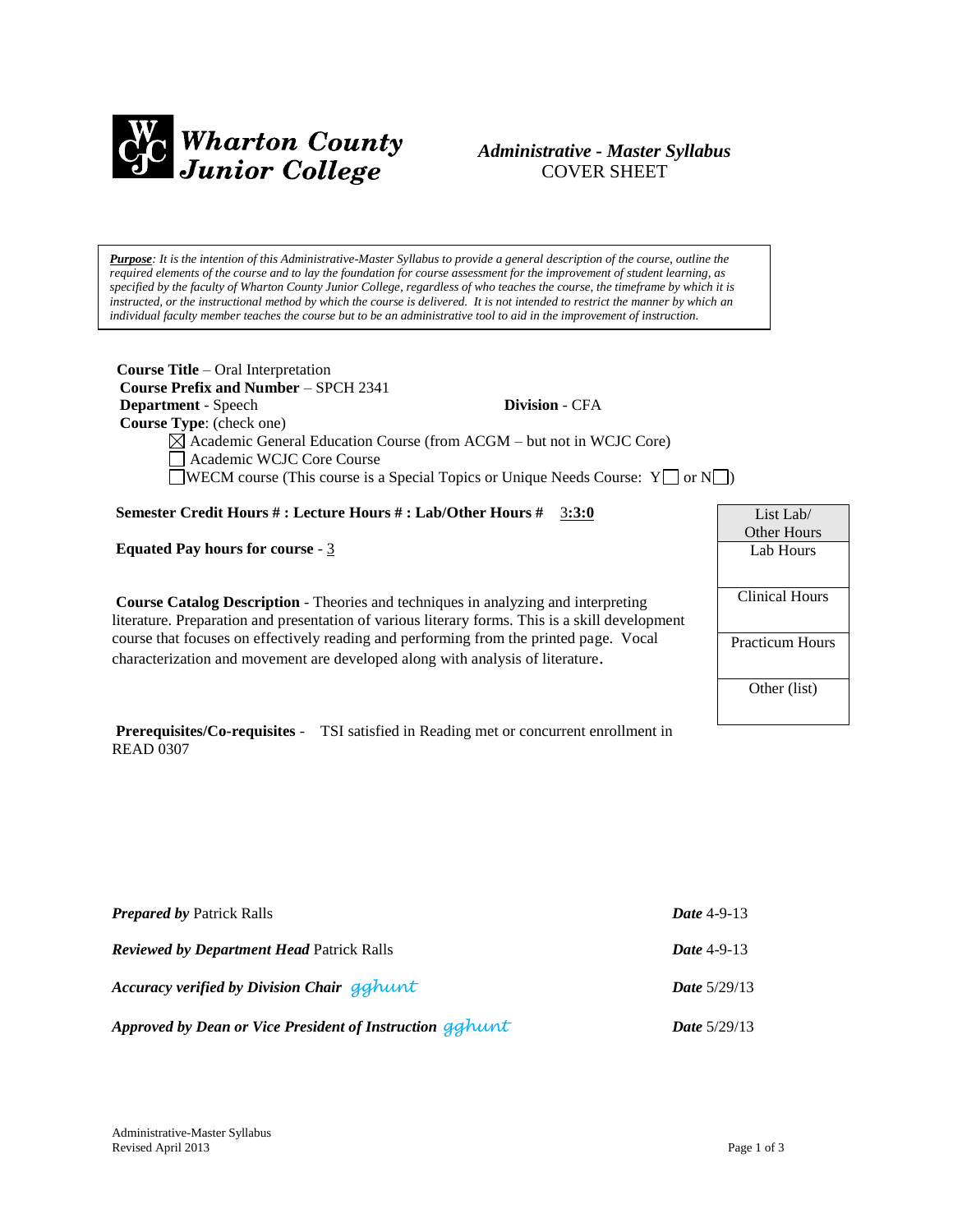

# *Administrative - Master Syllabus*  COVER SHEET

*Purpose: It is the intention of this Administrative-Master Syllabus to provide a general description of the course, outline the required elements of the course and to lay the foundation for course assessment for the improvement of student learning, as specified by the faculty of Wharton County Junior College, regardless of who teaches the course, the timeframe by which it is instructed, or the instructional method by which the course is delivered. It is not intended to restrict the manner by which an individual faculty member teaches the course but to be an administrative tool to aid in the improvement of instruction.*

| <b>Course Title</b> – Oral Interpretation<br><b>Course Prefix and Number - SPCH 2341</b> |                       |                    |
|------------------------------------------------------------------------------------------|-----------------------|--------------------|
| <b>Department</b> - Speech                                                               | <b>Division - CFA</b> |                    |
| <b>Course Type:</b> (check one)                                                          |                       |                    |
| $\boxtimes$ Academic General Education Course (from ACGM – but not in WCJC Core)         |                       |                    |
| Academic WCJC Core Course                                                                |                       |                    |
| <b>NECM</b> course (This course is a Special Topics or Unique Needs Course: $Y \cap Y$   |                       |                    |
|                                                                                          |                       |                    |
| Semester Credit Hours #: Lecture Hours #: Lab/Other Hours #                              | 3:3:0                 | List Lab $\ell$    |
|                                                                                          |                       | <b>Other Hours</b> |
| <b>Equated Pay hours for course - 3</b>                                                  |                       | Lab Hours          |

**Course Catalog Description** - Theories and techniques in analyzing and interpreting

literature. Preparation and presentation of various literary forms. This is a skill development course that focuses on effectively reading and performing from the printed page. Vocal characterization and movement are developed along with analysis of literature.

Lab Hours Clinical Hours Practicum Hours Other (list)

**Prerequisites/Co-requisites** - TSI satisfied in Reading met or concurrent enrollment in READ 0307

| <b>Prepared by Patrick Ralls</b>                          | Date $4-9-13$         |
|-----------------------------------------------------------|-----------------------|
| <b>Reviewed by Department Head Patrick Ralls</b>          | Date $4-9-13$         |
| Accuracy verified by Division Chair gghunt                | <b>Date</b> $5/29/13$ |
| Approved by Dean or Vice President of Instruction getwint | <b>Date</b> $5/29/13$ |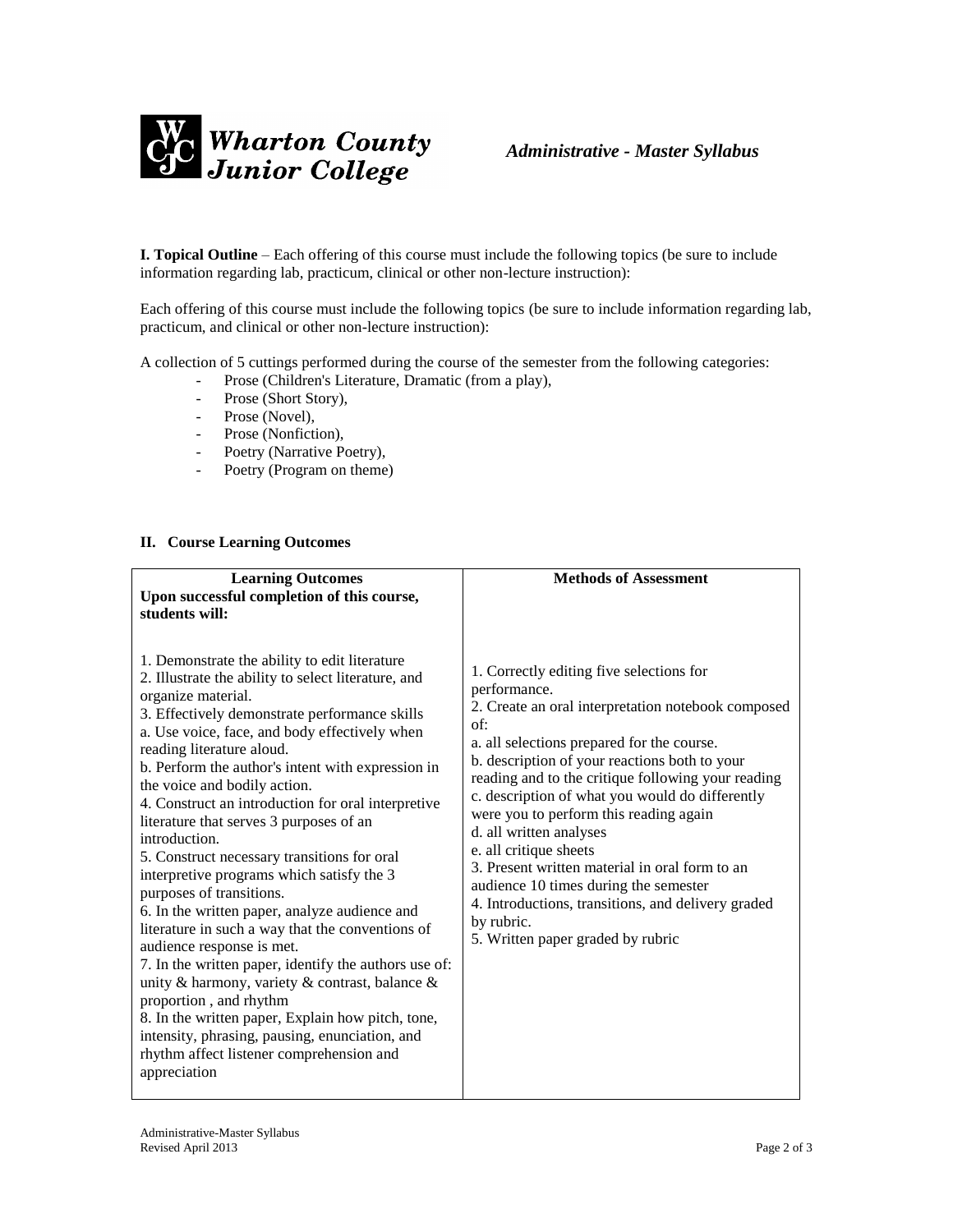

**I. Topical Outline** – Each offering of this course must include the following topics (be sure to include information regarding lab, practicum, clinical or other non-lecture instruction):

Each offering of this course must include the following topics (be sure to include information regarding lab, practicum, and clinical or other non-lecture instruction):

A collection of 5 cuttings performed during the course of the semester from the following categories:

- Prose (Children's Literature, Dramatic (from a play),
- Prose (Short Story),
- Prose (Novel),
- Prose (Nonfiction),
- Poetry (Narrative Poetry),
- Poetry (Program on theme)

## **II. Course Learning Outcomes**

| <b>Learning Outcomes</b><br>Upon successful completion of this course,                                                                                                                                                                                                                                                                                                                                                                                                                                                                                                                                                                                                                                                                                                                                                                                                                                                                                                                                                                               | <b>Methods of Assessment</b>                                                                                                                                                                                                                                                                                                                                                                                                                                                                                                                                                                                                     |
|------------------------------------------------------------------------------------------------------------------------------------------------------------------------------------------------------------------------------------------------------------------------------------------------------------------------------------------------------------------------------------------------------------------------------------------------------------------------------------------------------------------------------------------------------------------------------------------------------------------------------------------------------------------------------------------------------------------------------------------------------------------------------------------------------------------------------------------------------------------------------------------------------------------------------------------------------------------------------------------------------------------------------------------------------|----------------------------------------------------------------------------------------------------------------------------------------------------------------------------------------------------------------------------------------------------------------------------------------------------------------------------------------------------------------------------------------------------------------------------------------------------------------------------------------------------------------------------------------------------------------------------------------------------------------------------------|
| students will:<br>1. Demonstrate the ability to edit literature<br>2. Illustrate the ability to select literature, and<br>organize material.<br>3. Effectively demonstrate performance skills<br>a. Use voice, face, and body effectively when<br>reading literature aloud.<br>b. Perform the author's intent with expression in<br>the voice and bodily action.<br>4. Construct an introduction for oral interpretive<br>literature that serves 3 purposes of an<br>introduction.<br>5. Construct necessary transitions for oral<br>interpretive programs which satisfy the 3<br>purposes of transitions.<br>6. In the written paper, analyze audience and<br>literature in such a way that the conventions of<br>audience response is met.<br>7. In the written paper, identify the authors use of:<br>unity & harmony, variety & contrast, balance &<br>proportion, and rhythm<br>8. In the written paper, Explain how pitch, tone,<br>intensity, phrasing, pausing, enunciation, and<br>rhythm affect listener comprehension and<br>appreciation | 1. Correctly editing five selections for<br>performance.<br>2. Create an oral interpretation notebook composed<br>of:<br>a. all selections prepared for the course.<br>b. description of your reactions both to your<br>reading and to the critique following your reading<br>c. description of what you would do differently<br>were you to perform this reading again<br>d. all written analyses<br>e. all critique sheets<br>3. Present written material in oral form to an<br>audience 10 times during the semester<br>4. Introductions, transitions, and delivery graded<br>by rubric.<br>5. Written paper graded by rubric |